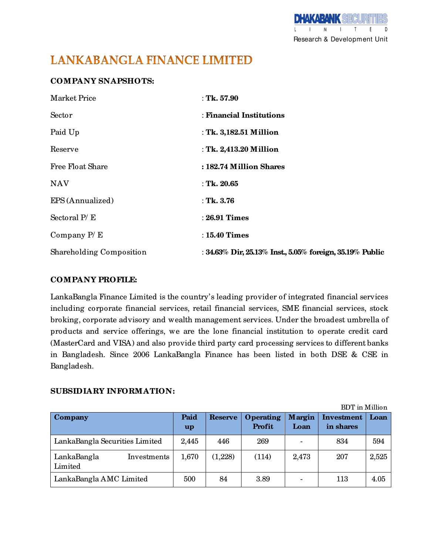D Research & Development Unit

# **LANKABANGLA FINANCE LIMITED**

## **COMPANY SNAPSHOTS:**

| <b>Market Price</b>             | : Tk. $57.90$                                                        |
|---------------------------------|----------------------------------------------------------------------|
| Sector                          | : Financial Institutions                                             |
| Paid Up                         | : Tk. 3,182.51 Million                                               |
| Reserve                         | : Tk. 2,413.20 Million                                               |
| <b>Free Float Share</b>         | : 182.74 Million Shares                                              |
| <b>NAV</b>                      | : Tk. $20.65$                                                        |
| EPS (Annualized)                | : Tk. $3.76$                                                         |
| Sectoral $P/E$                  | : 26.91 Times                                                        |
| Company $P/E$                   | $: 15.40$ Times                                                      |
| <b>Shareholding Composition</b> | : $34.63\%$ Dir, $25.13\%$ Inst., $5.05\%$ foreign, $35.19\%$ Public |

## **COMPANY PROFILE:**

LankaBangla Finance Limited is the country's leading provider of integrated financial services including corporate financial services, retail financial services, SME financial services, stock broking, corporate advisory and wealth management services. Under the broadest umbrella of products and service offerings, we are the lone financial institution to operate credit card (MasterCard and VISA) and also provide third party card processing services to different banks in Bangladesh. Since 2006 LankaBangla Finance has been listed in both DSE & CSE in Bangladesh.

### **SUBSIDIARY INFORMATION:**

|                                       | <b>BDT</b> in Million |                |                     |                |                         |       |
|---------------------------------------|-----------------------|----------------|---------------------|----------------|-------------------------|-------|
| <b>Company</b>                        | Paid<br>up            | <b>Reserve</b> | Operating<br>Profit | Margin<br>Loan | Investment<br>in shares | Loan  |
| LankaBangla Securities Limited        | 2,445                 | 446            | 269                 |                | 834                     | 594   |
| LankaBangla<br>Investments<br>Limited | 1,670                 | (1,228)        | (114)               | 2,473          | 207                     | 2,525 |
| LankaBangla AMC Limited               | 500                   | 84             | 3.89                |                | 113                     | 4.05  |